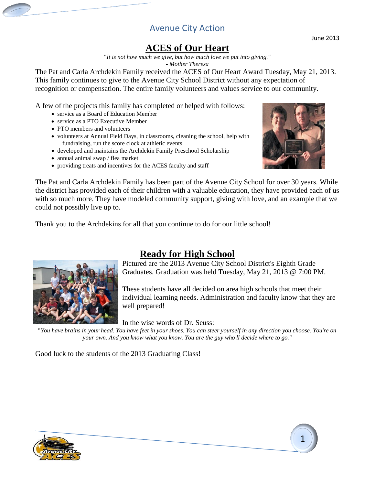June 2013

# **ACES of Our Heart**

"*It is not how much we give, but how much love we put into giving."*

*- Mother Theresa*

The Pat and Carla Archdekin Family received the ACES of Our Heart Award Tuesday, May 21, 2013. This family continues to give to the Avenue City School District without any expectation of recognition or compensation. The entire family volunteers and values service to our community.

A few of the projects this family has completed or helped with follows:

- service as a Board of Education Member
- service as a PTO Executive Member
- PTO members and volunteers
- volunteers at Annual Field Days, in classrooms, cleaning the school, help with fundraising, run the score clock at athletic events
- developed and maintains the Archdekin Family Preschool Scholarship
- annual animal swap / flea market
- providing treats and incentives for the ACES faculty and staff



The Pat and Carla Archdekin Family has been part of the Avenue City School for over 30 years. While the district has provided each of their children with a valuable education, they have provided each of us with so much more. They have modeled community support, giving with love, and an example that we could not possibly live up to.

Thank you to the Archdekins for all that you continue to do for our little school!



# **Ready for High School**

Pictured are the 2013 Avenue City School District's Eighth Grade Graduates. Graduation was held Tuesday, May 21, 2013 @ 7:00 PM.

These students have all decided on area high schools that meet their individual learning needs. Administration and faculty know that they are well prepared!

In the wise words of Dr. Seuss:

"*You have brains in your head. You have feet in your shoes. You can steer yourself in any direction you choose. You're on your own. And you know what you know. You are the guy who'll decide where to go."*

Good luck to the students of the 2013 Graduating Class!

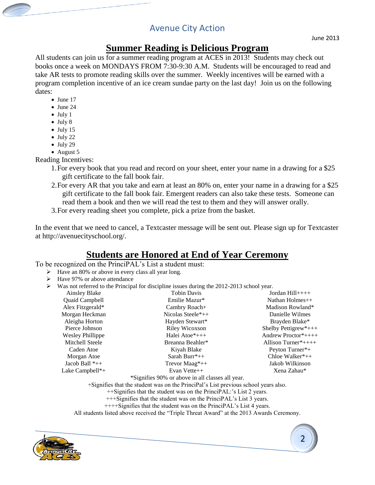June 2013

# **Summer Reading is Delicious Program**

All students can join us for a summer reading program at ACES in 2013! Students may check out books once a week on MONDAYS FROM 7:30-9:30 A.M. Students will be encouraged to read and take AR tests to promote reading skills over the summer. Weekly incentives will be earned with a program completion incentive of an ice cream sundae party on the last day! Join us on the following dates:

- $\bullet$  June 17
- $\bullet$  June 24
- July 1
- July 8
- $\bullet$  July 15
- $\bullet$  July 22
- $\bullet$  July 29

• August 5 Reading Incentives:

- 1.For every book that you read and record on your sheet, enter your name in a drawing for a \$25 gift certificate to the fall book fair.
- 2.For every AR that you take and earn at least an 80% on, enter your name in a drawing for a \$25 gift certificate to the fall book fair. Emergent readers can also take these tests. Someone can read them a book and then we will read the test to them and they will answer orally.

3.For every reading sheet you complete, pick a prize from the basket.

In the event that we need to cancel, a Textcaster message will be sent out. Please sign up for Textcaster at http://avenuecityschool.org/.

# **Students are Honored at End of Year Ceremony**

To be recognized on the PrinciPAL's List a student must:

- $\blacktriangleright$  Have an 80% or above in every class all year long.
- $\blacktriangleright$  Have 97% or above attendance
- $\triangleright$  Was not referred to the Principal for discipline issues during the 2012-2013 school year.

|                     | $\frac{1}{100}$ as not referred to the Frincipal for discipline hours daring the 2012 2013 sensor year. |                           |
|---------------------|---------------------------------------------------------------------------------------------------------|---------------------------|
| Ainsley Blake       | <b>Tobin Davis</b>                                                                                      | Jordan $Hill_{++++}$      |
| Quaid Campbell      | Emilie Mazur*                                                                                           | Nathan Holmes $++$        |
| Alex Fitzgerald*    | Cambry Roach+                                                                                           | Madison Rowland*          |
| Morgan Heckman      | Nicolas Steele $*++$                                                                                    | Danielle Wilmes           |
| Aleigha Horton      | Hayden Stewart*                                                                                         | Brayden Blake*            |
| Pierce Johnson      | <b>Riley Wicoxson</b>                                                                                   | Shelby Pettigrew*+++      |
| Wesley Phillippe    | Halei Atoe $*_{+++}$                                                                                    | Andrew Proctor $*_{++++}$ |
| Mitchell Steele     | Breanna Beahler*                                                                                        | Allison Turner $*$ ++++   |
| Caden Atoe          | Kiyah Blake                                                                                             | Peyton Turner*+           |
| Morgan Atoe         | Sarah Burr $*_{++}$                                                                                     | Chloe Walker $*_{++}$     |
| Jacob Ball $*_{++}$ | Trevor Maag* $++$                                                                                       | Jakob Wilkinson           |
| Lake Campbell $*$ + | Evan Vette $++$                                                                                         | Xena Zahau*               |
|                     |                                                                                                         |                           |

\*Signifies 90% or above in all classes all year.

+Signifies that the student was on the PrinciPal's List previous school years also.

- ++Signifies that the student was on the PrinciPAL:'s List 2 years.
- +++Signifies that the student was on the PrinciPAL's List 3 years.
- ++++Signifies that the student was on the PrinciPAL's List 4 years.

All students listed above received the "Triple Threat Award" at the 2013 Awards Ceremony.

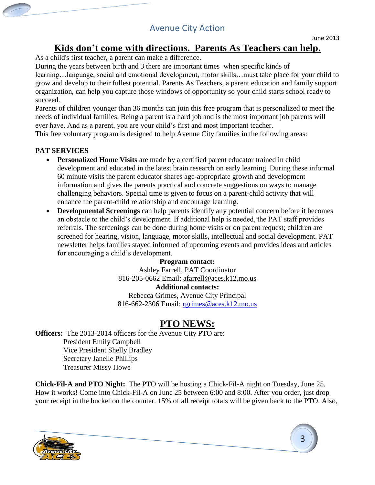3

### **Kids don't come with directions. Parents As Teachers can help.**

As a child's first teacher, a parent can make a difference.

During the years between birth and 3 there are important times when specific kinds of learning…language, social and emotional development, motor skills…must take place for your child to grow and develop to their fullest potential. Parents As Teachers, a parent education and family support organization, can help you capture those windows of opportunity so your child starts school ready to succeed.

Parents of children younger than 36 months can join this free program that is personalized to meet the needs of individual families. Being a parent is a hard job and is the most important job parents will ever have. And as a parent, you are your child's first and most important teacher.

This free voluntary program is designed to help Avenue City families in the following areas:

### **PAT SERVICES**

- **Personalized Home Visits** are made by a certified parent educator trained in child development and educated in the latest brain research on early learning. During these informal 60 minute visits the parent educator shares age-appropriate growth and development information and gives the parents practical and concrete suggestions on ways to manage challenging behaviors. Special time is given to focus on a parent-child activity that will enhance the parent-child relationship and encourage learning.
- **Developmental Screenings** can help parents identify any potential concern before it becomes an obstacle to the child's development. If additional help is needed, the PAT staff provides referrals. The screenings can be done during home visits or on parent request; children are screened for hearing, vision, language, motor skills, intellectual and social development. PAT newsletter helps families stayed informed of upcoming events and provides ideas and articles for encouraging a child's development.

**Program contact:** Ashley Farrell, PAT Coordinator 816-205-0662 Email: [afarrell@aces.k12.mo.us](mailto:afarrell@aces.k12.mo.us) **Additional contacts:** Rebecca Grimes, Avenue City Principal 816-662-2306 Email: [rgrimes@aces.k12.mo.us](mailto:rgrimes@aces.k12.mo.us)

# **PTO NEWS:**

**Officers:** The 2013-2014 officers for the Avenue City PTO are: President Emily Campbell Vice President Shelly Bradley Secretary Janelle Phillips Treasurer Missy Howe

**Chick-Fil-A and PTO Night:** The PTO will be hosting a Chick-Fil-A night on Tuesday, June 25. How it works! Come into Chick-Fil-A on June 25 between 6:00 and 8:00. After you order, just drop your receipt in the bucket on the counter. 15% of all receipt totals will be given back to the PTO. Also,

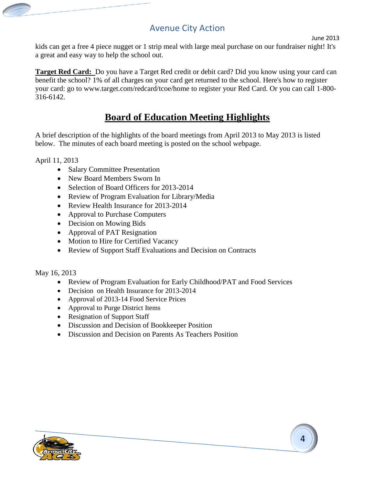kids can get a free 4 piece nugget or 1 strip meal with large meal purchase on our fundraiser night! It's a great and easy way to help the school out.

**Target Red Card:** Do you have a Target Red credit or debit card? Did you know using your card can benefit the school? 1% of all charges on your card get returned to the school. Here's how to register your card: go to www.target.com/redcard/tcoe/home to register your Red Card. Or you can call 1-800- 316-6142.

# **Board of Education Meeting Highlights**

A brief description of the highlights of the board meetings from April 2013 to May 2013 is listed below. The minutes of each board meeting is posted on the school webpage.

April 11, 2013

- Salary Committee Presentation
- New Board Members Sworn In
- Selection of Board Officers for 2013-2014
- Review of Program Evaluation for Library/Media
- Review Health Insurance for 2013-2014
- Approval to Purchase Computers
- Decision on Mowing Bids
- Approval of PAT Resignation
- Motion to Hire for Certified Vacancy
- Review of Support Staff Evaluations and Decision on Contracts

May 16, 2013

- Review of Program Evaluation for Early Childhood/PAT and Food Services
- Decision on Health Insurance for 2013-2014
- Approval of 2013-14 Food Service Prices
- Approval to Purge District Items
- Resignation of Support Staff
- Discussion and Decision of Bookkeeper Position
- Discussion and Decision on Parents As Teachers Position

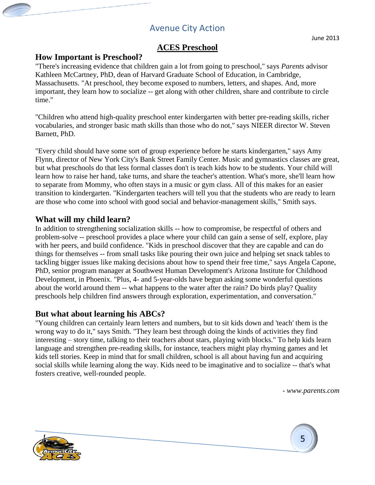### **ACES Preschool**

### **How Important is Preschool?**

"There's increasing evidence that children gain a lot from going to preschool," says *Parents* advisor Kathleen McCartney, PhD, dean of Harvard Graduate School of Education, in Cambridge, Massachusetts. "At preschool, they become exposed to numbers, letters, and shapes. And, more important, they learn how to socialize -- get along with other children, share and contribute to circle time."

"Children who attend high-quality preschool enter kindergarten with better pre-reading skills, richer vocabularies, and stronger basic math skills than those who do not," says NIEER director W. Steven Barnett, PhD.

"Every child should have some sort of group experience before he starts kindergarten," says Amy Flynn, director of New York City's Bank Street Family Center. Music and gymnastics classes are great, but what preschools do that less formal classes don't is teach kids how to be students. Your child will learn how to raise her hand, take turns, and share the teacher's attention. What's more, she'll learn how to separate from Mommy, who often stays in a music or gym class. All of this makes for an easier transition to kindergarten. "Kindergarten teachers will tell you that the students who are ready to learn are those who come into school with good social and behavior-management skills," Smith says.

### **What will my child learn?**

In addition to strengthening socialization skills -- how to compromise, be respectful of others and problem-solve -- preschool provides a place where your child can gain a sense of self, explore, play with her peers, and build confidence. "Kids in preschool discover that they are capable and can do things for themselves -- from small tasks like pouring their own juice and helping set snack tables to tackling bigger issues like making decisions about how to spend their free time," says Angela Capone, PhD, senior program manager at Southwest Human Development's Arizona Institute for Childhood Development, in Phoenix. "Plus, 4- and 5-year-olds have begun asking some wonderful questions about the world around them -- what happens to the water after the rain? Do birds play? Quality preschools help children find answers through exploration, experimentation, and conversation."

### **But what about learning his ABCs?**

"Young children can certainly learn letters and numbers, but to sit kids down and 'teach' them is the wrong way to do it," says Smith. "They learn best through doing the kinds of activities they find interesting – story time, talking to their teachers about stars, playing with blocks." To help kids learn language and strengthen pre-reading skills, for instance, teachers might play rhyming games and let kids tell stories. Keep in mind that for small children, school is all about having fun and acquiring social skills while learning along the way. Kids need to be imaginative and to socialize -- that's what fosters creative, well-rounded people.

- *www.parents.com*

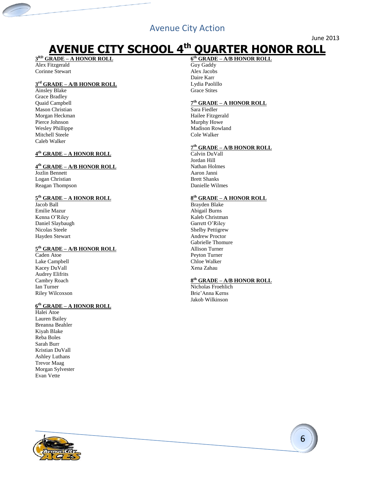June 2013

# **AVENUE CITY SCHOOL 4th QUARTER HONOR ROLL**

**3 RD GRADE – A HONOR ROLL** Alex Fitzgerald

Corinne Stewart

#### **3 rd GRADE – A/B HONOR ROLL**

Ainsley Blake Grace Bradley Quaid Campbell Mason Christian Morgan Heckman Pierce Johnson Wesley Phillippe Mitchell Steele Caleb Walker

#### **4 th GRADE – A HONOR ROLL**

#### **4 th GRADE – A/B HONOR ROLL**

Jozlin Bennett Logan Christian Reagan Thompson

#### **5 th GRADE – A HONOR ROLL**

Jacob Ball Emilie Mazur Kenna O'Riley Daniel Slaybaugh Nicolas Steele Hayden Stewart

#### **5 th GRADE – A/B HONOR ROLL**

Caden Atoe Lake Campbell Kacey DuVall Audrey Elifrits Cambry Roach Ian Turner Riley Wilcoxson

#### **6 th GRADE – A HONOR ROLL**

Halei Atoe Lauren Bailey Breanna Beahler Kiyah Blake Reba Boles Sarah Burr Kristian DuVall Ashley Luthans Trevor Maag Morgan Sylvester Evan Vette

#### $6<sup>th</sup>$  GRADE **thera HONOR ROLL** Guy Gaddy

Alex Jacobs Daire Karr Lydia Paolillo Grace Stites

#### **7 th GRADE – A HONOR ROLL**

Sara Fiedler Hailee Fitzgerald Murphy Howe Madison Rowland Cole Walker

#### **7 th GRADE – A/B HONOR ROLL**

Calvin DuVall Jordan Hill Nathan Holmes Aaron Janni Brett Shanks Danielle Wilmes

#### **8 th GRADE – A HONOR ROLL**

Brayden Blake Abigail Burns Kaleb Christman Garrett O'Riley Shelby Pettigrew Andrew Proctor Gabrielle Thomure Allison Turner Peyton Turner Chloe Walker Xena Zahau

#### **8 th GRADE – A/B HONOR ROLL**

Nicholas Froehlich Brie'Anna Kerns Jakob Wilkinson

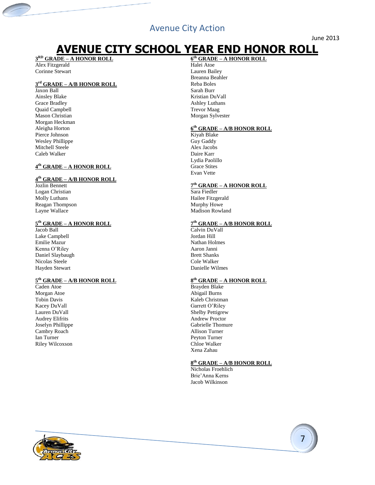June 2013

### **AVENUE CITY SCHOOL YEAR END HONOR ROLL 6 th GRADE – A HONOR ROLL**

**3 RD GRADE – A HONOR ROLL**

Alex Fitzgerald Corinne Stewart

#### **3 rd GRADE – A/B HONOR ROLL**

Jaxon Ball Ainsley Blake Grace Bradley Quaid Campbell Mason Christian Morgan Heckman Aleigha Horton Pierce Johnson Wesley Phillippe Mitchell Steele Caleb Walker

#### **4 th GRADE – A HONOR ROLL**

#### **4 th GRADE – A/B HONOR ROLL**

Jozlin Bennett Logan Christian Molly Luthans Reagan Thompson Layne Wallace

#### **5 th GRADE – A HONOR ROLL**

Jacob Ball Lake Campbell Emilie Mazur Kenna O'Riley Daniel Slaybaugh Nicolas Steele Hayden Stewart

#### **5 th GRADE – A/B HONOR ROLL**

Caden Atoe Morgan Atoe Tobin Davis Kacey DuVall Lauren DuVall Audrey Elifrits Joselyn Phillippe Cambry Roach Ian Turner Riley Wilcoxson

Halei Atoe Lauren Bailey Breanna Beahler Reba Boles Sarah Burr Kristian DuVall Ashley Luthans Trevor Maag Morgan Sylvester

#### **6 th GRADE – A/B HONOR ROLL**

Kiyah Blake Guy Gaddy Alex Jacobs Daire Karr Lydia Paolillo Grace Stites Evan Vette

#### **7 th GRADE – A HONOR ROLL**

Sara Fiedler Hailee Fitzgerald Murphy Howe Madison Rowland

#### **7 th GRADE – A/B HONOR ROLL**

Calvin DuVall Jordan Hill Nathan Holmes Aaron Janni Brett Shanks Cole Walker Danielle Wilmes

#### **8 th GRADE – A HONOR ROLL**

Brayden Blake Abigail Burns Kaleb Christman Garrett O'Riley Shelby Pettigrew Andrew Proctor Gabrielle Thomure Allison Turner Peyton Turner Chloe Walker Xena Zahau

#### **8 th GRADE – A/B HONOR ROLL**

Nicholas Froehlich Brie'Anna Kerns Jacob Wilkinson

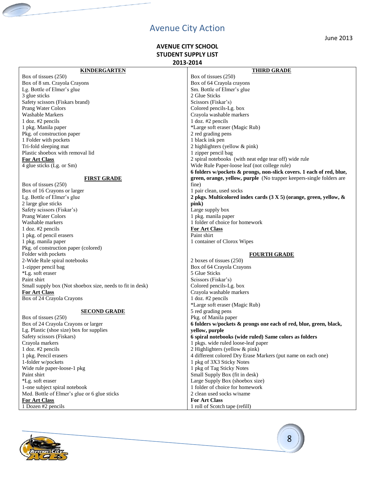June 2013

### **AVENUE CITY SCHOOL STUDENT SUPPLY LIST 2013-2014**

| <b>KINDERGARTEN</b>                                       | <b>THIRD GRADE</b>                                                      |
|-----------------------------------------------------------|-------------------------------------------------------------------------|
| Box of tissues (250)                                      | Box of tissues (250)                                                    |
| Box of 8 sm. Crayola Crayons                              | Box of 64 Crayola crayons                                               |
| Lg. Bottle of Elmer's glue                                | Sm. Bottle of Elmer's glue                                              |
| 3 glue sticks                                             | 2 Glue Sticks                                                           |
| Safety scissors (Fiskars brand)                           | Scissors (Fiskar's)                                                     |
| Prang Water Colors                                        | Colored pencils-Lg. box                                                 |
| <b>Washable Markers</b>                                   | Crayola washable markers                                                |
| $1$ doz. #2 pencils                                       | 1 doz. $#2$ pencils                                                     |
| 1 pkg. Manila paper                                       | *Large soft eraser (Magic Rub)                                          |
| Pkg. of construction paper                                | 2 red grading pens                                                      |
| 1 Folder with pockets                                     | 1 black ink pen                                                         |
| Tri-fold sleeping mat                                     | 2 highlighters (yellow $&$ pink)                                        |
| Plastic shoebox with removal lid                          | 1 zipper pencil bag                                                     |
| For Art Class                                             | 2 spiral notebooks (with neat edge tear off) wide rule                  |
| 4 glue sticks (Lg. or Sm)                                 | Wide Rule Paper-loose leaf (not college rule)                           |
|                                                           | 6 folders w/pockets & prongs, non-slick covers. 1 each of red, blue,    |
| <b>FIRST GRADE</b>                                        |                                                                         |
|                                                           | green, orange, yellow, purple (No trapper keepers-single folders are    |
| Box of tissues (250)                                      | fine)                                                                   |
| Box of 16 Crayons or larger                               | 1 pair clean, used socks                                                |
| Lg. Bottle of Elmer's glue                                | 2 pkgs. Multicolored index cards $(3 X 5)$ (orange, green, yellow, $\&$ |
| 2 large glue sticks                                       | pink)                                                                   |
| Safety scissors (Fiskar's)                                | Large supply box                                                        |
| Prang Water Colors                                        | 1 pkg. manila paper                                                     |
| Washable markers                                          | 1 folder of choice for homework                                         |
| $1$ doz. #2 pencils                                       | <b>For Art Class</b>                                                    |
| 1 pkg. of pencil erasers                                  | Paint shirt                                                             |
| 1 pkg. manila paper                                       | 1 container of Clorox Wipes                                             |
| Pkg. of construction paper (colored)                      |                                                                         |
| Folder with pockets                                       | <b>FOURTH GRADE</b>                                                     |
| 2-Wide Rule spiral notebooks                              | 2 boxes of tissues (250)                                                |
| 1-zipper pencil bag                                       | Box of 64 Crayola Crayons                                               |
| *Lg. soft eraser                                          | 5 Glue Sticks                                                           |
| Paint shirt                                               | Scissors (Fiskar's)                                                     |
| Small supply box (Not shoebox size, needs to fit in desk) | Colored pencils-Lg. box                                                 |
| <b>For Art Class</b>                                      | Crayola washable markers                                                |
| Box of 24 Crayola Crayons                                 | $1$ doz. #2 pencils                                                     |
|                                                           | *Large soft eraser (Magic Rub)                                          |
| <b>SECOND GRADE</b>                                       | 5 red grading pens                                                      |
| Box of tissues (250)                                      | Pkg. of Manila paper                                                    |
| Box of 24 Crayola Crayons or larger                       | 6 folders w/pockets & prongs one each of red, blue, green, black,       |
| Lg. Plastic (shoe size) box for supplies                  | vellow, purple                                                          |
| Safety scissors (Fiskars)                                 | 6 spiral notebooks (wide ruled) Same colors as folders                  |
| Crayola markers                                           | 1 pkgs. wide ruled loose-leaf paper                                     |
| 1 doz. #2 pencils                                         | 2 Highlighters (yellow & pink)                                          |
| 1 pkg. Pencil erasers                                     | 4 different colored Dry Erase Markers (put name on each one)            |
| 1-folder w/pockets                                        | 1 pkg of 3X3 Sticky Notes                                               |
| Wide rule paper-loose-1 pkg                               | 1 pkg of Tag Sticky Notes                                               |
| Paint shirt                                               | Small Supply Box (fit in desk)                                          |
| *Lg. soft eraser                                          | Large Supply Box (shoebox size)                                         |
|                                                           | 1 folder of choice for homework                                         |
| 1-one subject spiral notebook                             | 2 clean used socks w/name                                               |
| Med. Bottle of Elmer's glue or 6 glue sticks              |                                                                         |
| For Art Class                                             | <b>For Art Class</b>                                                    |
| 1 Dozen #2 pencils                                        | 1 roll of Scotch tape (refill)                                          |

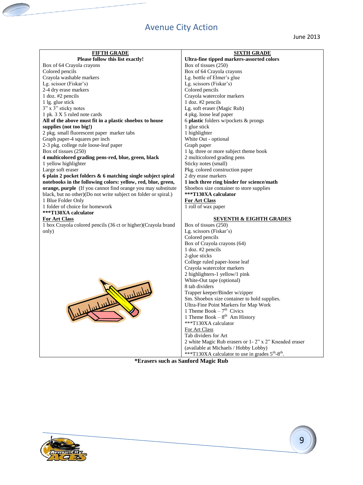June 2013

| <b>FIFTH GRADE</b>                                              | <b>SIXTH GRADE</b>                                                       |
|-----------------------------------------------------------------|--------------------------------------------------------------------------|
| Please follow this list exactly!                                | Ultra-fine tipped markers-assorted colors                                |
| Box of 64 Crayola crayons                                       | Box of tissues (250)                                                     |
| Colored pencils                                                 | Box of 64 Crayola crayons                                                |
| Crayola washable markers                                        | Lg. bottle of Elmer's glue                                               |
| Lg. scissor (Fiskar's)                                          | Lg. scissors (Fiskar's)                                                  |
| 2-4 dry erase markers                                           | Colored pencils                                                          |
| $1$ doz. #2 pencils                                             | Crayola watercolor markers                                               |
| 1 lg. glue stick                                                | 1 doz. #2 pencils                                                        |
| 3" x 3" sticky notes                                            | Lg. soft eraser (Magic Rub)                                              |
| 1 pk. 3 X 5 ruled note cards                                    | 4 pkg. loose leaf paper                                                  |
| All of the above must fit in a plastic shoebox to house         | 6 plastic folders w/pockets & prongs                                     |
| supplies (not too big!)                                         | 1 glue stick                                                             |
| 2 pkg. small fluorescent paper marker tabs                      | 1 highlighter                                                            |
| Graph paper-4 squares per inch                                  | White Out - optional                                                     |
| 2-3 pkg. college rule loose-leaf paper                          | Graph paper                                                              |
| Box of tissues (250)                                            | 1 lg. three or more subject theme book                                   |
| 4 multicolored grading pens-red, blue, green, black             | 2 multicolored grading pens                                              |
| 1 yellow highlighter                                            | Sticky notes (small)                                                     |
| Large soft eraser                                               | Pkg. colored construction paper                                          |
| 6 plain 2 pocket folders & 6 matching single subject spiral     | 2 dry erase markers                                                      |
| notebooks in the following colors: yellow, red, blue, green,    | 1 inch three ring binder for science/math                                |
| orange, purple (If you cannot find orange you may substitute    | Shoebox size container to store supplies                                 |
| black, but no other)(Do not write subject on folder or spiral.) | ***T130XA calculator                                                     |
| 1 Blue Folder Only                                              | For Art Class                                                            |
| 1 folder of choice for homework                                 | 1 roll of wax paper                                                      |
| ***T130XA calculator                                            |                                                                          |
| <b>For Art Class</b>                                            | <b>SEVENTH &amp; EIGHTH GRADES</b>                                       |
| 1 box Crayola colored pencils (36 ct or higher) (Crayola brand  | Box of tissues (250)                                                     |
| only)                                                           | Lg. scissors (Fiskar's)                                                  |
|                                                                 | Colored pencils                                                          |
|                                                                 | Box of Crayola crayons (64)                                              |
|                                                                 | $1$ doz. #2 pencils                                                      |
|                                                                 | 2-glue sticks<br>College ruled paper-loose leaf                          |
|                                                                 | Crayola watercolor markers                                               |
|                                                                 |                                                                          |
|                                                                 | 2 highlighters-1 yellow/1 pink<br>White-Out tape (optional)              |
|                                                                 | 8 tab dividers                                                           |
|                                                                 | Trapper keeper/Binder w/zipper                                           |
|                                                                 | Sm. Shoebox size container to hold supplies.                             |
| whytmly                                                         | Ultra-Fine Point Markers for Map Work                                    |
|                                                                 | 1 Theme Book $-7th$ Civics                                               |
|                                                                 | 1 Theme Book $-8^{th}$ Am History                                        |
|                                                                 | ***T130XA calculator                                                     |
|                                                                 | For Art Class                                                            |
|                                                                 | Tab dividers for Art                                                     |
|                                                                 | 2 white Magic Rub erasers or 1-2" x 2" Kneaded eraser                    |
|                                                                 | (available at Michaels / Hobby Lobby)                                    |
|                                                                 | ***T130XA calculator to use in grades 5 <sup>th</sup> -8 <sup>th</sup> . |
|                                                                 |                                                                          |

**\*Erasers such as Sanford Magic Rub**

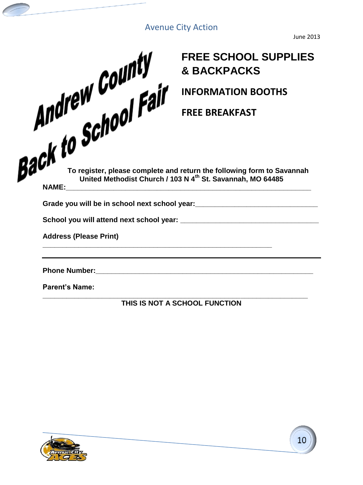

June 2013

|                                                                                                                                                                                                                                     | <b>FREE SCHOOL SUPPLIES</b><br><b>&amp; BACKPACKS</b>                                                                                |
|-------------------------------------------------------------------------------------------------------------------------------------------------------------------------------------------------------------------------------------|--------------------------------------------------------------------------------------------------------------------------------------|
|                                                                                                                                                                                                                                     | <b>INFORMATION BOOTHS</b>                                                                                                            |
| Andrew Count,                                                                                                                                                                                                                       | <b>FREE BREAKFAST</b>                                                                                                                |
| Back to School Fair<br><b>NAME:</b>                                                                                                                                                                                                 | To register, please complete and return the following form to Savannah<br>United Methodist Church / 103 N 4th St. Savannah, MO 64485 |
| Grade you will be in school next school year:<br>Strade you will be in school next school year:                                                                                                                                     |                                                                                                                                      |
|                                                                                                                                                                                                                                     |                                                                                                                                      |
| <b>Address (Please Print)</b>                                                                                                                                                                                                       |                                                                                                                                      |
| <b>Phone Number:</b> The contract of the contract of the contract of the contract of the contract of the contract of the contract of the contract of the contract of the contract of the contract of the contract of the contract o |                                                                                                                                      |
| <b>Parent's Name:</b>                                                                                                                                                                                                               |                                                                                                                                      |
|                                                                                                                                                                                                                                     | THIS IS NOT A SCHOOL FUNCTION                                                                                                        |

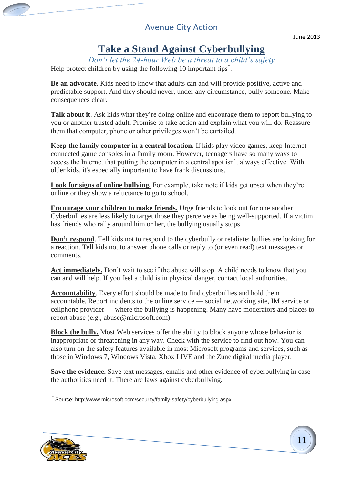# **Take a Stand Against Cyberbullying**

*Don't let the 24-hour Web be a threat to a child's safety* Help protect children by using the following 10 important tips<sup>\*</sup>:

**Be an advocate**. Kids need to know that adults can and will provide positive, active and predictable support. And they should never, under any circumstance, bully someone. Make consequences clear.

**Talk about it**. Ask kids what they're doing online and encourage them to report bullying to you or another trusted adult. Promise to take action and explain what you will do. Reassure them that computer, phone or other privileges won't be curtailed.

**Keep the family computer in a central location.** If kids play video games, keep Internetconnected game consoles in a family room. However, teenagers have so many ways to access the Internet that putting the computer in a central spot isn't always effective. With older kids, it's especially important to have frank discussions.

**Look for signs of online bullying.** For example, take note if kids get upset when they're online or they show a reluctance to go to school.

**Encourage your children to make friends.** Urge friends to look out for one another. Cyberbullies are less likely to target those they perceive as being well-supported. If a victim has friends who rally around him or her, the bullying usually stops.

**Don't respond.** Tell kids not to respond to the cyberbully or retaliate; bullies are looking for a reaction. Tell kids not to answer phone calls or reply to (or even read) text messages or comments.

Act **immediately.** Don't wait to see if the abuse will stop. A child needs to know that you can and will help. If you feel a child is in physical danger, contact local authorities.

**Accountability**. Every effort should be made to find cyberbullies and hold them accountable. Report incidents to the online service — social networking site, IM service or cellphone provider — where the bullying is happening. Many have moderators and places to report abuse (e.g., [abuse@microsoft.com\)](mailto:abuse@microsoft.com).

**Block the bully.** Most Web services offer the ability to block anyone whose behavior is inappropriate or threatening in any way. Check with the service to find out how. You can also turn on the safety features available in most Microsoft programs and services, such as those in [Windows 7,](http://www.microsoft.com/windows/windows-7/features/parental-controls.aspx) [Windows Vista,](http://www.microsoft.com/security/pc-security/windowsvista.aspx) [Xbox LIVE](http://support.xbox.com/en-us/pages/xbox-live/how-to/parental-control.aspx) and the [Zune digital media player.](http://www.microsoft.com/protect/tools/childsafety/zune.aspx)

**Save the evidence.** Save text messages, emails and other evidence of cyberbullying in case the authorities need it. There are laws against cyberbullying.

\* Source[: http://www.microsoft.com/security/family-safety/cyberbullying.aspx](http://www.microsoft.com/security/family-safety/cyberbullying.aspx)